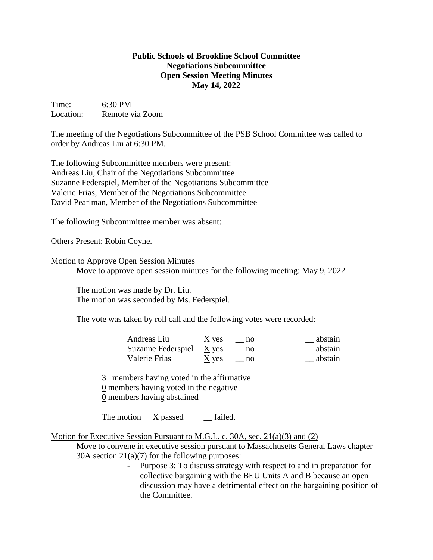## **Public Schools of Brookline School Committee Negotiations Subcommittee Open Session Meeting Minutes May 14, 2022**

Time: 6:30 PM Location: Remote via Zoom

The meeting of the Negotiations Subcommittee of the PSB School Committee was called to order by Andreas Liu at 6:30 PM.

The following Subcommittee members were present: Andreas Liu, Chair of the Negotiations Subcommittee Suzanne Federspiel, Member of the Negotiations Subcommittee Valerie Frias, Member of the Negotiations Subcommittee David Pearlman, Member of the Negotiations Subcommittee

The following Subcommittee member was absent:

Others Present: Robin Coyne.

## Motion to Approve Open Session Minutes

Move to approve open session minutes for the following meeting: May 9, 2022

The motion was made by Dr. Liu. The motion was seconded by Ms. Federspiel.

The vote was taken by roll call and the following votes were recorded:

| Andreas Liu              | $\underline{X}$ yes | $-$ no | abstain |
|--------------------------|---------------------|--------|---------|
| Suzanne Federspiel X yes |                     | no no  | abstain |
| Valerie Frias            | $\underline{X}$ yes | no     | abstain |

3 members having voted in the affirmative 0 members having voted in the negative 0 members having abstained

The motion X passed failed.

## Motion for Executive Session Pursuant to M.G.L. c. 30A, sec. 21(a)(3) and (2)

Move to convene in executive session pursuant to Massachusetts General Laws chapter  $30A$  section  $21(a)(7)$  for the following purposes:

> Purpose 3: To discuss strategy with respect to and in preparation for collective bargaining with the BEU Units A and B because an open discussion may have a detrimental effect on the bargaining position of the Committee.